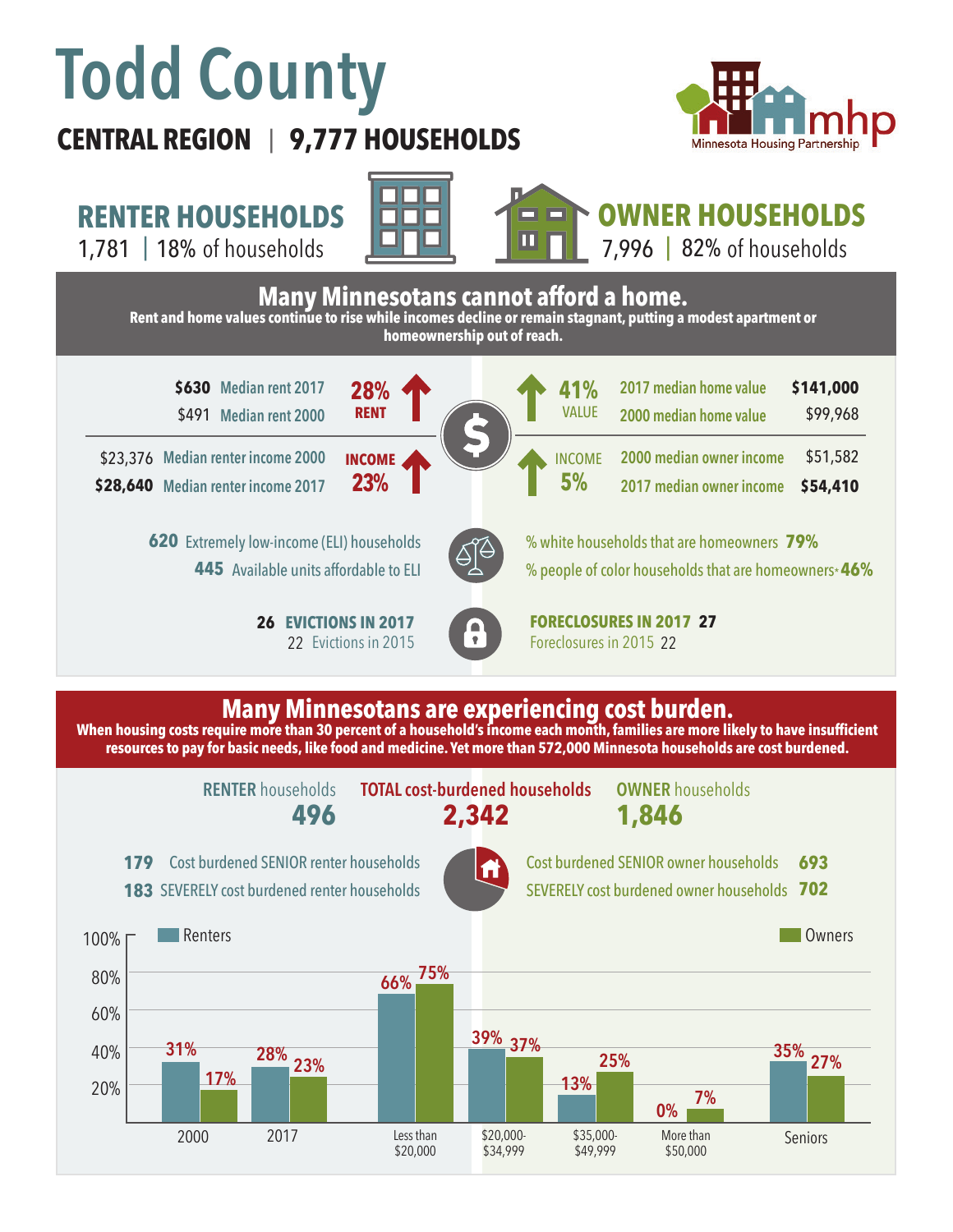# **Todd County**

## **CENTRAL REGION 9,777 HOUSEHOLDS**  |



**RENTER HOUSEHOLDS**

1,781 | of households 18% 82%







### **Many Minnesotans are experiencing cost burden.**

When housing costs require more than 30 percent of a household's income each month, families are more likely to have insufficient **resources to pay for basic needs, like food and medicine. Yet more than 572,000 Minnesota households are cost burdened.**